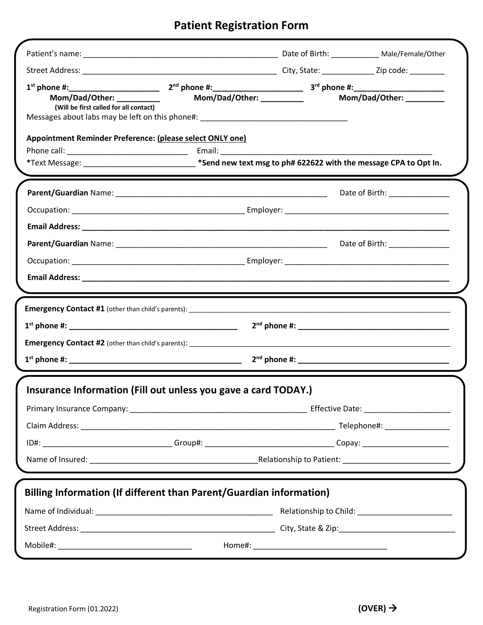## **Patient Registration Form**

| 1 <sup>st</sup> phone #:_________________________<br>Mom/Dad/Other: _________<br>(Will be first called for all contact)<br>Messages about labs may be left on this phone#: ________________________________ |  |  | Mom/Dad/Other: _________       |  |  |
|-------------------------------------------------------------------------------------------------------------------------------------------------------------------------------------------------------------|--|--|--------------------------------|--|--|
| Appointment Reminder Preference: (please select ONLY one)<br>*Text Message: ________________________________*Send new text msg to ph# 622622 with the message CPA to Opt In.                                |  |  |                                |  |  |
|                                                                                                                                                                                                             |  |  | Date of Birth: _______________ |  |  |
|                                                                                                                                                                                                             |  |  |                                |  |  |
|                                                                                                                                                                                                             |  |  |                                |  |  |
|                                                                                                                                                                                                             |  |  | Date of Birth: _______________ |  |  |
|                                                                                                                                                                                                             |  |  |                                |  |  |
|                                                                                                                                                                                                             |  |  |                                |  |  |
|                                                                                                                                                                                                             |  |  |                                |  |  |
|                                                                                                                                                                                                             |  |  |                                |  |  |
| <b>Emergency Contact #1</b> (other than child's parents): _____________________________                                                                                                                     |  |  |                                |  |  |
| $1st$ phone #:                                                                                                                                                                                              |  |  |                                |  |  |
|                                                                                                                                                                                                             |  |  |                                |  |  |
|                                                                                                                                                                                                             |  |  |                                |  |  |
|                                                                                                                                                                                                             |  |  |                                |  |  |
| Insurance Information (Fill out unless you gave a card TODAY.)                                                                                                                                              |  |  |                                |  |  |
|                                                                                                                                                                                                             |  |  |                                |  |  |
|                                                                                                                                                                                                             |  |  |                                |  |  |
| ID#: _________________________________Group#: __________________________________Copay: _______________________                                                                                              |  |  |                                |  |  |
|                                                                                                                                                                                                             |  |  |                                |  |  |
|                                                                                                                                                                                                             |  |  |                                |  |  |
| Billing Information (If different than Parent/Guardian information)                                                                                                                                         |  |  |                                |  |  |
|                                                                                                                                                                                                             |  |  |                                |  |  |
|                                                                                                                                                                                                             |  |  |                                |  |  |